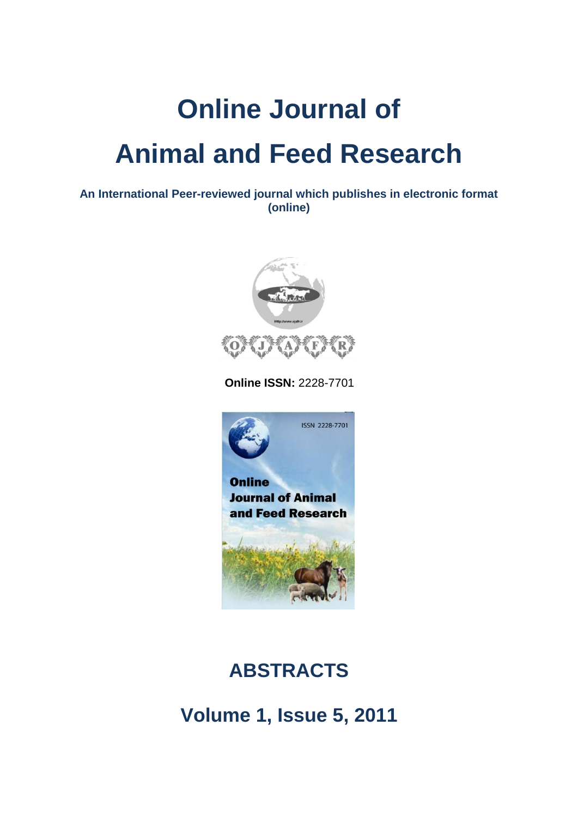# **Online Journal of Animal and Feed Research**

**An International Peer-reviewed journal which publishes in electronic format (online)**



 **Online ISSN:** 2228-7701



## **ABSTRACTS**

**Volume 1, Issue 5, 2011**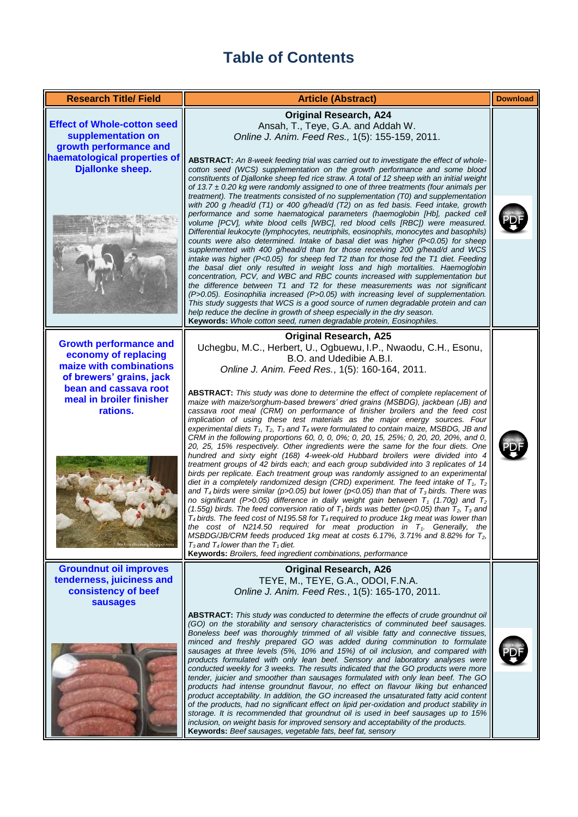### **Table of Contents**

| <b>Research Title/ Field</b>                                                                                                                                                  | <b>Article (Abstract)</b>                                                                                                                                                                                                                                                                                                                                                                                                                                                                                                                                                                                                                                                                                                                                                                                                                                                                                                                                                                                                                                                                                                                                                                                                                                                                                                                                                                                                                                                                                                                                                                                                                                                                                                                                                                                                                                                                 | <b>Download</b> |
|-------------------------------------------------------------------------------------------------------------------------------------------------------------------------------|-------------------------------------------------------------------------------------------------------------------------------------------------------------------------------------------------------------------------------------------------------------------------------------------------------------------------------------------------------------------------------------------------------------------------------------------------------------------------------------------------------------------------------------------------------------------------------------------------------------------------------------------------------------------------------------------------------------------------------------------------------------------------------------------------------------------------------------------------------------------------------------------------------------------------------------------------------------------------------------------------------------------------------------------------------------------------------------------------------------------------------------------------------------------------------------------------------------------------------------------------------------------------------------------------------------------------------------------------------------------------------------------------------------------------------------------------------------------------------------------------------------------------------------------------------------------------------------------------------------------------------------------------------------------------------------------------------------------------------------------------------------------------------------------------------------------------------------------------------------------------------------------|-----------------|
| <b>Effect of Whole-cotton seed</b><br>supplementation on<br>growth performance and<br>haematological properties of<br><b>Djallonke sheep.</b>                                 | <b>Original Research, A24</b><br>Ansah, T., Teye, G.A. and Addah W.<br>Online J. Anim. Feed Res., 1(5): 155-159, 2011.<br>ABSTRACT: An 8-week feeding trial was carried out to investigate the effect of whole-<br>cotton seed (WCS) supplementation on the growth performance and some blood<br>constituents of Djallonke sheep fed rice straw. A total of 12 sheep with an initial weight<br>of $13.7 \pm 0.20$ kg were randomly assigned to one of three treatments (four animals per<br>treatment). The treatments consisted of no supplementation (T0) and supplementation<br>with 200 g /head/d (T1) or 400 g/head/d (T2) on as fed basis. Feed intake, growth<br>performance and some haematogical parameters (haemoglobin [Hb], packed cell<br>volume [PCV], white blood cells [WBC], red blood cells [RBC]) were measured.<br>Differential leukocyte (lymphocytes, neutriphils, eosinophils, monocytes and basophils)<br>counts were also determined. Intake of basal diet was higher (P<0.05) for sheep<br>supplemented with 400 g/head/d than for those receiving 200 g/head/d and WCS<br>intake was higher ( $P<0.05$ ) for sheep fed T2 than for those fed the T1 diet. Feeding<br>the basal diet only resulted in weight loss and high mortalities. Haemoglobin<br>concentration, PCV, and WBC and RBC counts increased with supplementation but<br>the difference between T1 and T2 for these measurements was not significant<br>(P>0.05). Eosinophilia increased (P>0.05) with increasing level of supplementation.<br>This study suggests that WCS is a good source of rumen degradable protein and can<br>help reduce the decline in growth of sheep especially in the dry season.<br>Keywords: Whole cotton seed, rumen degradable protein, Eosinophiles.                                                                                                             |                 |
| <b>Growth performance and</b><br>economy of replacing<br>maize with combinations<br>of brewers' grains, jack<br>bean and cassava root<br>meal in broiler finisher<br>rations. | <b>Original Research, A25</b><br>Uchegbu, M.C., Herbert, U., Ogbuewu, I.P., Nwaodu, C.H., Esonu,<br>B.O. and Udedibie A.B.I.<br>Online J. Anim. Feed Res., 1(5): 160-164, 2011.<br><b>ABSTRACT:</b> This study was done to determine the effect of complete replacement of<br>maize with maize/sorghum-based brewers' dried grains (MSBDG), jackbean (JB) and<br>cassava root meal (CRM) on performance of finisher broilers and the feed cost<br>implication of using these test materials as the major energy sources. Four<br>experimental diets $T_1$ , $T_2$ , $T_3$ and $T_4$ were formulated to contain maize, MSBDG, JB and<br>CRM in the following proportions 60, 0, 0, 0%; 0, 20, 15, 25%; 0, 20, 20, 20%, and 0,<br>20, 25, 15% respectively. Other ingredients were the same for the four diets. One<br>hundred and sixty eight (168) 4-week-old Hubbard broilers were divided into 4<br>treatment groups of 42 birds each; and each group subdivided into 3 replicates of 14<br>birds per replicate. Each treatment group was randomly assigned to an experimental<br>diet in a completely randomized design (CRD) experiment. The feed intake of $T_1$ , $T_2$<br>and T <sub>4</sub> birds were similar (p>0.05) but lower (p<0.05) than that of T <sub>3</sub> birds. There was<br>no significant (P>0.05) difference in daily weight gain between $T_1$ (1.70g) and $T_2$<br>(1.55q) birds. The feed conversion ratio of $T_1$ birds was better (p<0.05) than $T_2$ , $T_3$ and<br>$T_4$ birds. The feed cost of N195.58 for $T_4$ required to produce 1kg meat was lower than<br>the cost of N214.50 required for meat production in $T_1$ . Generally, the<br>MSBDG/JB/CRM feeds produced 1kg meat at costs 6.17%, 3.71% and 8.82% for T <sub>2</sub> ,<br>$T_3$ and $T_4$ lower than the $T_1$ diet.<br>Keywords: Broilers, feed ingredient combinations, performance |                 |
| <b>Groundnut oil improves</b><br>tenderness, juiciness and<br>consistency of beef<br><b>sausages</b>                                                                          | <b>Original Research, A26</b><br>TEYE, M., TEYE, G.A., ODOI, F.N.A.<br>Online J. Anim. Feed Res., 1(5): 165-170, 2011.<br><b>ABSTRACT:</b> This study was conducted to determine the effects of crude groundnut oil<br>(GO) on the storability and sensory characteristics of comminuted beef sausages.<br>Boneless beef was thoroughly trimmed of all visible fatty and connective tissues,<br>minced and freshly prepared GO was added during comminution to formulate<br>sausages at three levels (5%, 10% and 15%) of oil inclusion, and compared with<br>products formulated with only lean beef. Sensory and laboratory analyses were<br>conducted weekly for 3 weeks. The results indicated that the GO products were more<br>tender, juicier and smoother than sausages formulated with only lean beef. The GO<br>products had intense groundnut flavour, no effect on flavour liking but enhanced<br>product acceptability. In addition, the GO increased the unsaturated fatty acid content<br>of the products, had no significant effect on lipid per-oxidation and product stability in<br>storage. It is recommended that groundnut oil is used in beef sausages up to 15%<br>inclusion, on weight basis for improved sensory and acceptability of the products.<br>Keywords: Beef sausages, vegetable fats, beef fat, sensory                                                                                                                                                                                                                                                                                                                                                                                                                                                                                                                                               |                 |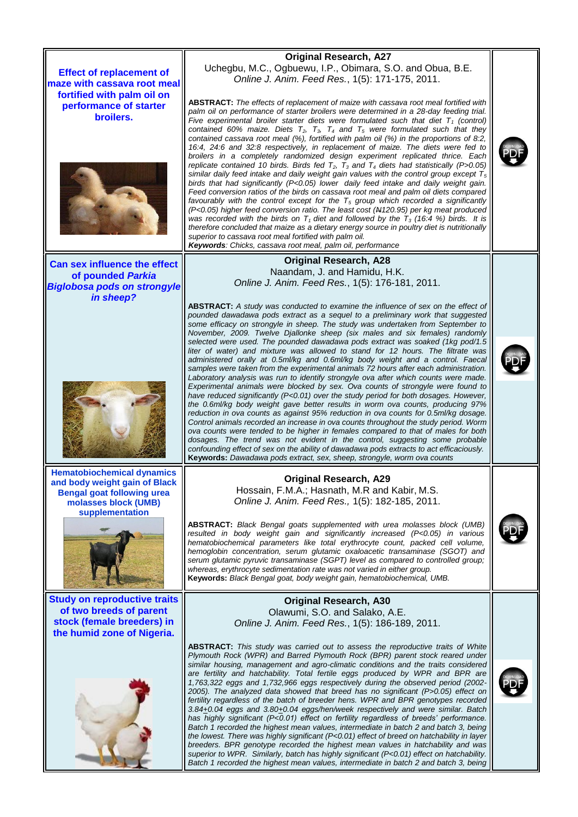**Effect of replacement of maze with cassava root meal fortified with palm oil on performance of starter broilers.**



**Can sex influence the effect of pounded** *Parkia Biglobosa pods on strongyle in sheep?*



**Hematobiochemical dynamics and body weight gain of Black Bengal goat following urea molasses block (UMB) supplementation**



**Study on reproductive traits of two breeds of parent stock (female breeders) in the humid zone of Nigeria.**



#### **Original Research, A27** Uchegbu, M.C., Ogbuewu, I.P., Obimara, S.O. and Obua, B.E. *Online J. Anim. Feed Res.*, 1(5): 171-175, 2011.

**ABSTRACT:** *The effects of replacement of maize with cassava root meal fortified with palm oil on performance of starter broilers were determined in a 28-day feeding trial. Five experimental broiler starter diets were formulated such that diet T<sup>1</sup> (control) contained 60% maize. Diets T2, T3, T<sup>4</sup> and T<sup>5</sup> were formulated such that they contained cassava root meal (%), fortified with palm oil (%) in the proportions of 8:2, 16:4, 24:6 and 32:8 respectively, in replacement of maize. The diets were fed to broilers in a completely randomized design experiment replicated thrice. Each replicate contained 10 birds. Birds fed T2, T<sup>3</sup> and T<sup>4</sup> diets had statistically (P>0.05) similar daily feed intake and daily weight gain values with the control group except T<sup>5</sup> birds that had significantly (P<0.05) lower daily feed intake and daily weight gain. Feed conversion ratios of the birds on cassava root meal and palm oil diets compared favourably with the control except for the T<sup>5</sup> group which recorded a significantly (P<0.05) higher feed conversion ratio. The least cost (N120.95) per kg meat produced was recorded with the birds on*  $T_1$  *diet and followed by the*  $T_3$  *(16:4 %) birds. It is therefore concluded that maize as a dietary energy source in poultry diet is nutritionally superior to cassava root meal fortified with palm oil. Keywords: Chicks, cassava root meal, palm oil, performance*

#### **Original Research, A28** Naandam, J. and Hamidu, H.K. *Online J. Anim. Feed Res.*, 1(5): 176-181, 2011.

**ABSTRACT:** *A study was conducted to examine the influence of sex on the effect of pounded dawadawa pods extract as a sequel to a preliminary work that suggested some efficacy on strongyle in sheep. The study was undertaken from September to November, 2009. Twelve Djallonke sheep (six males and six females) randomly selected were used. The pounded dawadawa pods extract was soaked (1kg pod/1.5 liter of water) and mixture was allowed to stand for 12 hours. The filtrate was administered orally at 0.5ml/kg and 0.6ml/kg body weight and a control. Faecal samples were taken from the experimental animals 72 hours after each administration.*  Laboratory analysis was run to identify strongyle ova after which counts were made. *Experimental animals were blocked by sex. Ova counts of strongyle were found to have reduced significantly (P<0.01) over the study period for both dosages. However, the 0.6ml/kg body weight gave better results in worm ova counts, producing 97% reduction in ova counts as against 95% reduction in ova counts for 0.5ml/kg dosage. Control animals recorded an increase in ova counts throughout the study period. Worm ova counts were tended to be higher in females compared to that of males for both*  dosages. The trend was not evident in the control, suggesting some probable *confounding effect of sex on the ability of dawadawa pods extracts to act efficaciously.* **Keywords:** *Dawadawa pods extract, sex, sheep, strongyle, worm ova counts*

#### **Original Research, A29** Hossain, F.M.A.; Hasnath, M.R and Kabir, M.S. *Online J. Anim. Feed Res.,* 1(5): 182-185, 2011.

**ABSTRACT:** *Black Bengal goats supplemented with urea molasses block (UMB) resulted in body weight gain and significantly increased (P<0.05) in various hematobiochemical parameters like total erythrocyte count, packed cell volume, hemoglobin concentration, serum glutamic oxaloacetic transaminase (SGOT) and serum glutamic pyruvic transaminase (SGPT) level as compared to controlled group; whereas, erythrocyte sedimentation rate was not varied in either group.*  **Keywords:** *Black Bengal goat, body weight gain, hematobiochemical, UMB.*

#### **Original Research, A30** Olawumi, S.O. and Salako, A.E. *Online J. Anim. Feed Res.*, 1(5): 186-189, 2011.

**ABSTRACT:** *This study was carried out to assess the reproductive traits of White Plymouth Rock (WPR) and Barred Plymouth Rock (BPR) parent stock reared under similar housing, management and agro-climatic conditions and the traits considered*  are fertility and hatchability. Total fertile eggs produced by WPR and BPR are *1,763,322 eggs and 1,732,966 eggs respectively during the observed period (2002- 2005). The analyzed data showed that breed has no significant (P>0.05) effect on fertility regardless of the batch of breeder hens. WPR and BPR genotypes recorded 3.84+0.04 eggs and 3.80+0.04 eggs/hen/week respectively and were similar. Batch has highly significant (P<0.01) effect on fertility regardless of breeds' performance. Batch 1 recorded the highest mean values, intermediate in batch 2 and batch 3, being the lowest. There was highly significant (P<0.01) effect of breed on hatchability in layer breeders. BPR genotype recorded the highest mean values in hatchability and was superior to WPR. Similarly, batch has highly significant (P<0.01) effect on hatchability. Batch 1 recorded the highest mean values, intermediate in batch 2 and batch 3, being* 

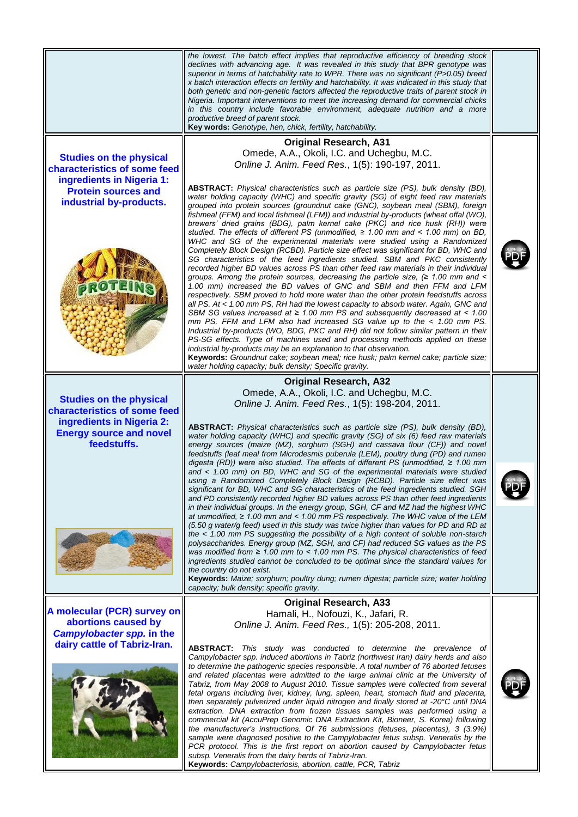|                                                                                                                                                      | the lowest. The batch effect implies that reproductive efficiency of breeding stock<br>declines with advancing age. It was revealed in this study that BPR genotype was<br>superior in terms of hatchability rate to WPR. There was no significant (P>0.05) breed<br>x batch interaction effects on fertility and hatchability. It was indicated in this study that<br>both genetic and non-genetic factors affected the reproductive traits of parent stock in<br>Nigeria. Important interventions to meet the increasing demand for commercial chicks<br>in this country include favorable environment, adequate nutrition and a more<br>productive breed of parent stock.<br>Key words: Genotype, hen, chick, fertility, hatchability.                                                                                                                                                                                                                                                                                                                                                                                                                                                                                                                                                                                                                                                                                                                                                                                                                                                                                                                                                                                                                                                                                                                                                                                            |  |
|------------------------------------------------------------------------------------------------------------------------------------------------------|--------------------------------------------------------------------------------------------------------------------------------------------------------------------------------------------------------------------------------------------------------------------------------------------------------------------------------------------------------------------------------------------------------------------------------------------------------------------------------------------------------------------------------------------------------------------------------------------------------------------------------------------------------------------------------------------------------------------------------------------------------------------------------------------------------------------------------------------------------------------------------------------------------------------------------------------------------------------------------------------------------------------------------------------------------------------------------------------------------------------------------------------------------------------------------------------------------------------------------------------------------------------------------------------------------------------------------------------------------------------------------------------------------------------------------------------------------------------------------------------------------------------------------------------------------------------------------------------------------------------------------------------------------------------------------------------------------------------------------------------------------------------------------------------------------------------------------------------------------------------------------------------------------------------------------------|--|
| <b>Studies on the physical</b><br>characteristics of some feed<br>ingredients in Nigeria 1:<br><b>Protein sources and</b><br>industrial by-products. | <b>Original Research, A31</b><br>Omede, A.A., Okoli, I.C. and Uchegbu, M.C.<br>Online J. Anim. Feed Res., 1(5): 190-197, 2011.<br><b>ABSTRACT:</b> Physical characteristics such as particle size (PS), bulk density (BD),<br>water holding capacity (WHC) and specific gravity (SG) of eight feed raw materials<br>grouped into protein sources (groundnut cake (GNC), soybean meal (SBM), foreign<br>fishmeal (FFM) and local fishmeal (LFM)) and industrial by-products (wheat offal (WO),<br>brewers' dried grains (BDG), palm kernel cake (PKC) and rice husk (RH)) were<br>studied. The effects of different PS (unmodified, $\geq$ 1.00 mm and < 1.00 mm) on BD,<br>WHC and SG of the experimental materials were studied using a Randomized<br>Completely Block Design (RCBD). Particle size effect was significant for BD, WHC and<br>SG characteristics of the feed ingredients studied. SBM and PKC consistently<br>recorded higher BD values across PS than other feed raw materials in their individual<br>groups. Among the protein sources, decreasing the particle size, $( \geq 1.00$ mm and <<br>1.00 mm) increased the BD values of GNC and SBM and then FFM and LFM<br>respectively. SBM proved to hold more water than the other protein feedstuffs across<br>all PS. At < 1.00 mm PS, RH had the lowest capacity to absorb water. Again, GNC and<br>SBM SG values increased at $\geq 1.00$ mm PS and subsequently decreased at < 1.00<br>mm PS. FFM and LFM also had increased SG value up to the < 1.00 mm PS.<br>Industrial by-products (WO, BDG, PKC and RH) did not follow similar pattern in their<br>PS-SG effects. Type of machines used and processing methods applied on these<br>industrial by-products may be an explanation to that observation.<br>Keywords: Groundnut cake; soybean meal; rice husk; palm kernel cake; particle size;<br>water holding capacity; bulk density; Specific gravity. |  |
| <b>Studies on the physical</b><br>characteristics of some feed<br>ingredients in Nigeria 2:<br><b>Energy source and novel</b><br>feedstuffs.         | <b>Original Research, A32</b><br>Omede, A.A., Okoli, I.C. and Uchegbu, M.C.<br>Online J. Anim. Feed Res., 1(5): 198-204, 2011.<br>ABSTRACT: Physical characteristics such as particle size (PS), bulk density (BD),<br>water holding capacity (WHC) and specific gravity (SG) of six (6) feed raw materials<br>energy sources (maize (MZ), sorghum (SGH) and cassava flour (CF)) and novel<br>feedstuffs (leaf meal from Microdesmis puberula (LEM), poultry dung (PD) and rumen<br>digesta (RD)) were also studied. The effects of different PS (unmodified, $\geq 1.00$ mm<br>and < 1.00 mm) on BD, WHC and SG of the experimental materials were studied<br>using a Randomized Completely Block Design (RCBD). Particle size effect was<br>significant for BD, WHC and SG characteristics of the feed ingredients studied. SGH<br>and PD consistently recorded higher BD values across PS than other feed ingredients<br>in their individual groups. In the energy group, SGH, CF and MZ had the highest WHC<br>at unmodified, $\geq 1.00$ mm and < 1.00 mm PS respectively. The WHC value of the LEM<br>(5.50 g water/g feed) used in this study was twice higher than values for PD and RD at<br>the < 1.00 mm PS suggesting the possibility of a high content of soluble non-starch<br>polysaccharides. Energy group (MZ, SGH, and CF) had reduced SG values as the PS<br>was modified from $\geq 1.00$ mm to < 1.00 mm PS. The physical characteristics of feed<br>ingredients studied cannot be concluded to be optimal since the standard values for<br>the country do not exist.<br>Keywords: Maize; sorghum; poultry dung; rumen digesta; particle size; water holding<br>capacity; bulk density; specific gravity.                                                                                                                                                                                                       |  |
| A molecular (PCR) survey on<br>abortions caused by<br><b>Campylobacter spp. in the</b><br>dairy cattle of Tabriz-Iran.                               | <b>Original Research, A33</b><br>Hamali, H., Nofouzi, K., Jafari, R.<br>Online J. Anim. Feed Res., 1(5): 205-208, 2011.<br><b>ABSTRACT:</b> This study was conducted to determine the prevalence of<br>Campylobacter spp. induced abortions in Tabriz (northwest Iran) dairy herds and also<br>to determine the pathogenic species responsible. A total number of 76 aborted fetuses<br>and related placentas were admitted to the large animal clinic at the University of<br>Tabriz, from May 2008 to August 2010. Tissue samples were collected from several<br>fetal organs including liver, kidney, lung, spleen, heart, stomach fluid and placenta,<br>then separately pulverized under liquid nitrogen and finally stored at -20°C until DNA<br>extraction. DNA extraction from frozen tissues samples was performed using a<br>commercial kit (AccuPrep Genomic DNA Extraction Kit, Bioneer, S. Korea) following<br>the manufacturer's instructions. Of 76 submissions (fetuses, placentas), 3 (3.9%)<br>sample were diagnosed positive to the Campylobacter fetus subsp. Veneralis by the<br>PCR protocol. This is the first report on abortion caused by Campylobacter fetus<br>subsp. Veneralis from the dairy herds of Tabriz-Iran.<br>Keywords: Campylobacteriosis, abortion, cattle, PCR, Tabriz                                                                                                                                                                                                                                                                                                                                                                                                                                                                                                                                                                                                                       |  |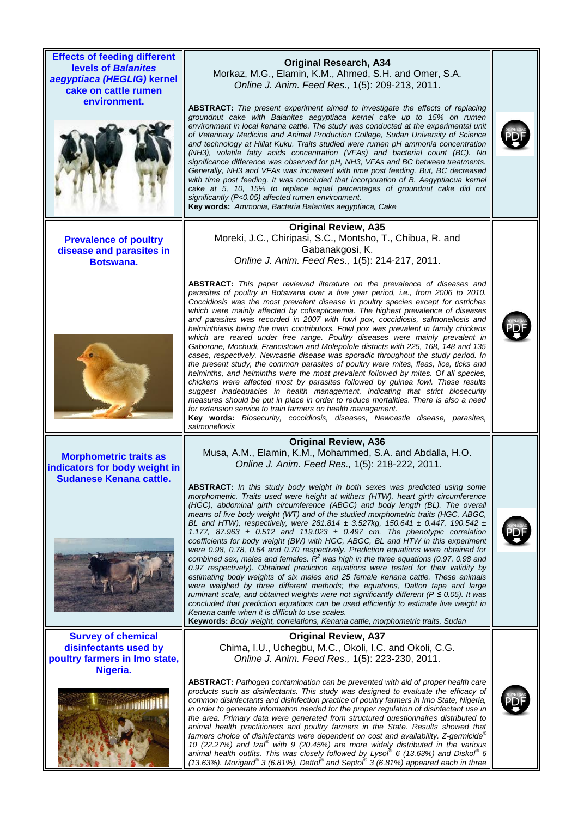